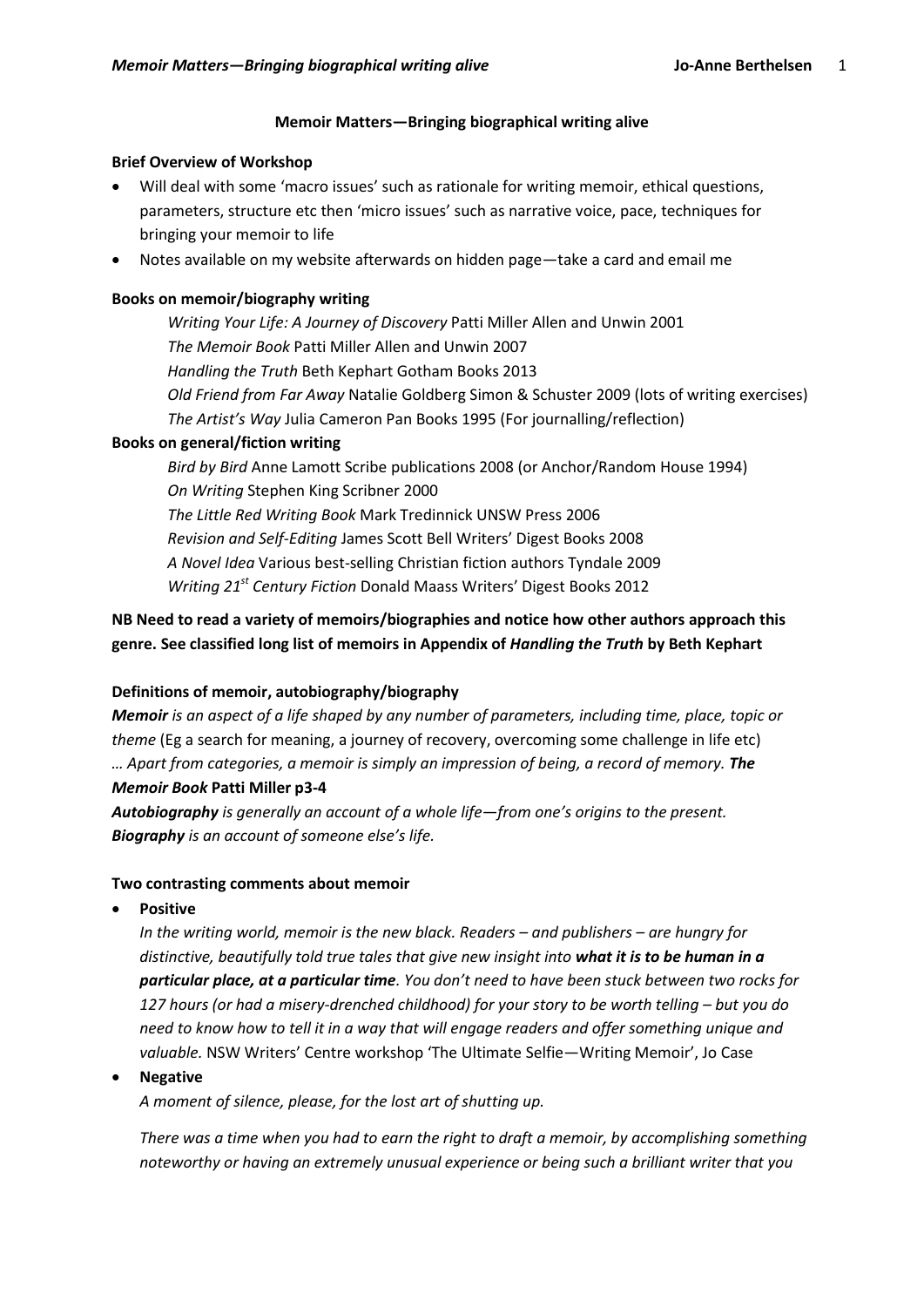#### **Memoir Matters—Bringing biographical writing alive**

#### **Brief Overview of Workshop**

- Will deal with some 'macro issues' such as rationale for writing memoir, ethical questions, parameters, structure etc then 'micro issues' such as narrative voice, pace, techniques for bringing your memoir to life
- Notes available on my website afterwards on hidden page—take a card and email me

## **Books on memoir/biography writing**

*Writing Your Life: A Journey of Discovery* Patti Miller Allen and Unwin 2001 *The Memoir Book* Patti Miller Allen and Unwin 2007 *Handling the Truth* Beth Kephart Gotham Books 2013 *Old Friend from Far Away* Natalie Goldberg Simon & Schuster 2009 (lots of writing exercises) *The Artist's Way* Julia Cameron Pan Books 1995 (For journalling/reflection)

# **Books on general/fiction writing**

*Bird by Bird* Anne Lamott Scribe publications 2008 (or Anchor/Random House 1994) *On Writing* Stephen King Scribner 2000 *The Little Red Writing Book* Mark Tredinnick UNSW Press 2006 *Revision and Self-Editing* James Scott Bell Writers' Digest Books 2008 *A Novel Idea* Various best-selling Christian fiction authors Tyndale 2009 *Writing 21st Century Fiction* Donald Maass Writers' Digest Books 2012

## **NB Need to read a variety of memoirs/biographies and notice how other authors approach this genre. See classified long list of memoirs in Appendix of** *Handling the Truth* **by Beth Kephart**

## **Definitions of memoir, autobiography/biography**

*Memoir is an aspect of a life shaped by any number of parameters, including time, place, topic or theme* (Eg a search for meaning, a journey of recovery, overcoming some challenge in life etc) *… Apart from categories, a memoir is simply an impression of being, a record of memory. The Memoir Book* **Patti Miller p3-4**

*Autobiography is generally an account of a whole life—from one's origins to the present. Biography is an account of someone else's life.*

#### **Two contrasting comments about memoir**

**Positive**

*In the writing world, memoir is the new black. Readers – and publishers – are hungry for distinctive, beautifully told true tales that give new insight into what it is to be human in a particular place, at a particular time. You don't need to have been stuck between two rocks for 127 hours (or had a misery-drenched childhood) for your story to be worth telling – but you do need to know how to tell it in a way that will engage readers and offer something unique and valuable.* NSW Writers' Centre workshop 'The Ultimate Selfie—Writing Memoir', Jo Case

#### **Negative**

*A moment of silence, please, for the lost art of shutting up.* 

*There was a time when you had to earn the right to draft a memoir, by accomplishing something noteworthy or having an extremely unusual experience or being such a brilliant writer that you*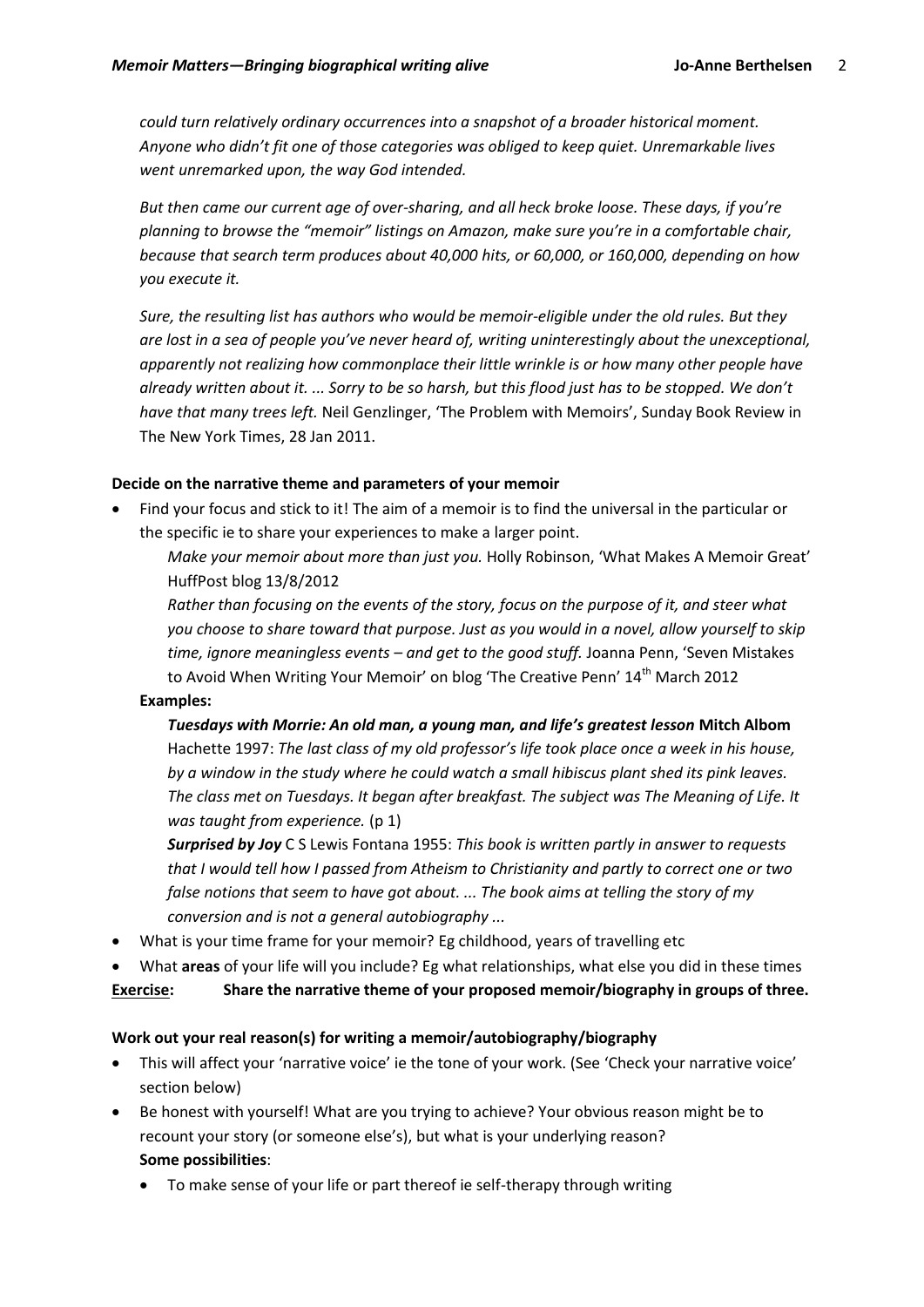*could turn relatively ordinary occurrences into a snapshot of a broader historical moment. Anyone who didn't fit one of those categories was obliged to keep quiet. Unremarkable lives went unremarked upon, the way God intended.* 

*But then came our current age of over-sharing, and all heck broke loose. These days, if you're planning to browse the "memoir" listings on Amazon, make sure you're in a comfortable chair, because that search term produces about 40,000 hits, or 60,000, or 160,000, depending on how you execute it.* 

*Sure, the resulting list has authors who would be memoir-eligible under the old rules. But they are lost in a sea of people you've never heard of, writing uninterestingly about the unexceptional, apparently not realizing how commonplace their little wrinkle is or how many other people have already written about it. ... Sorry to be so harsh, but this flood just has to be stopped. We don't have that many trees left.* Neil Genzlinger, 'The Problem with Memoirs', Sunday Book Review in The New York Times, 28 Jan 2011.

## **Decide on the narrative theme and parameters of your memoir**

 Find your focus and stick to it! The aim of a memoir is to find the universal in the particular or the specific ie to share your experiences to make a larger point.

*Make your memoir about more than just you.* Holly Robinson, 'What Makes A Memoir Great' HuffPost blog 13/8/2012

*Rather than focusing on the events of the story, focus on the purpose of it, and steer what you choose to share toward that purpose. Just as you would in a novel, allow yourself to skip time, ignore meaningless events – and get to the good stuff.* Joanna Penn, 'Seven Mistakes to Avoid When Writing Your Memoir' on blog 'The Creative Penn' 14<sup>th</sup> March 2012

#### **Examples:**

*Tuesdays with Morrie: An old man, a young man, and life's greatest lesson* **Mitch Albom**  Hachette 1997: *The last class of my old professor's life took place once a week in his house, by a window in the study where he could watch a small hibiscus plant shed its pink leaves. The class met on Tuesdays. It began after breakfast. The subject was The Meaning of Life. It was taught from experience.* (p 1)

*Surprised by Joy* C S Lewis Fontana 1955: *This book is written partly in answer to requests that I would tell how I passed from Atheism to Christianity and partly to correct one or two false notions that seem to have got about. ... The book aims at telling the story of my conversion and is not a general autobiography ...* 

What is your time frame for your memoir? Eg childhood, years of travelling etc

What **areas** of your life will you include? Eg what relationships, what else you did in these times

**Exercise: Share the narrative theme of your proposed memoir/biography in groups of three.**

#### **Work out your real reason(s) for writing a memoir/autobiography/biography**

- This will affect your 'narrative voice' ie the tone of your work. (See 'Check your narrative voice' section below)
- Be honest with yourself! What are you trying to achieve? Your obvious reason might be to recount your story (or someone else's), but what is your underlying reason? **Some possibilities**:
	- To make sense of your life or part thereof ie self-therapy through writing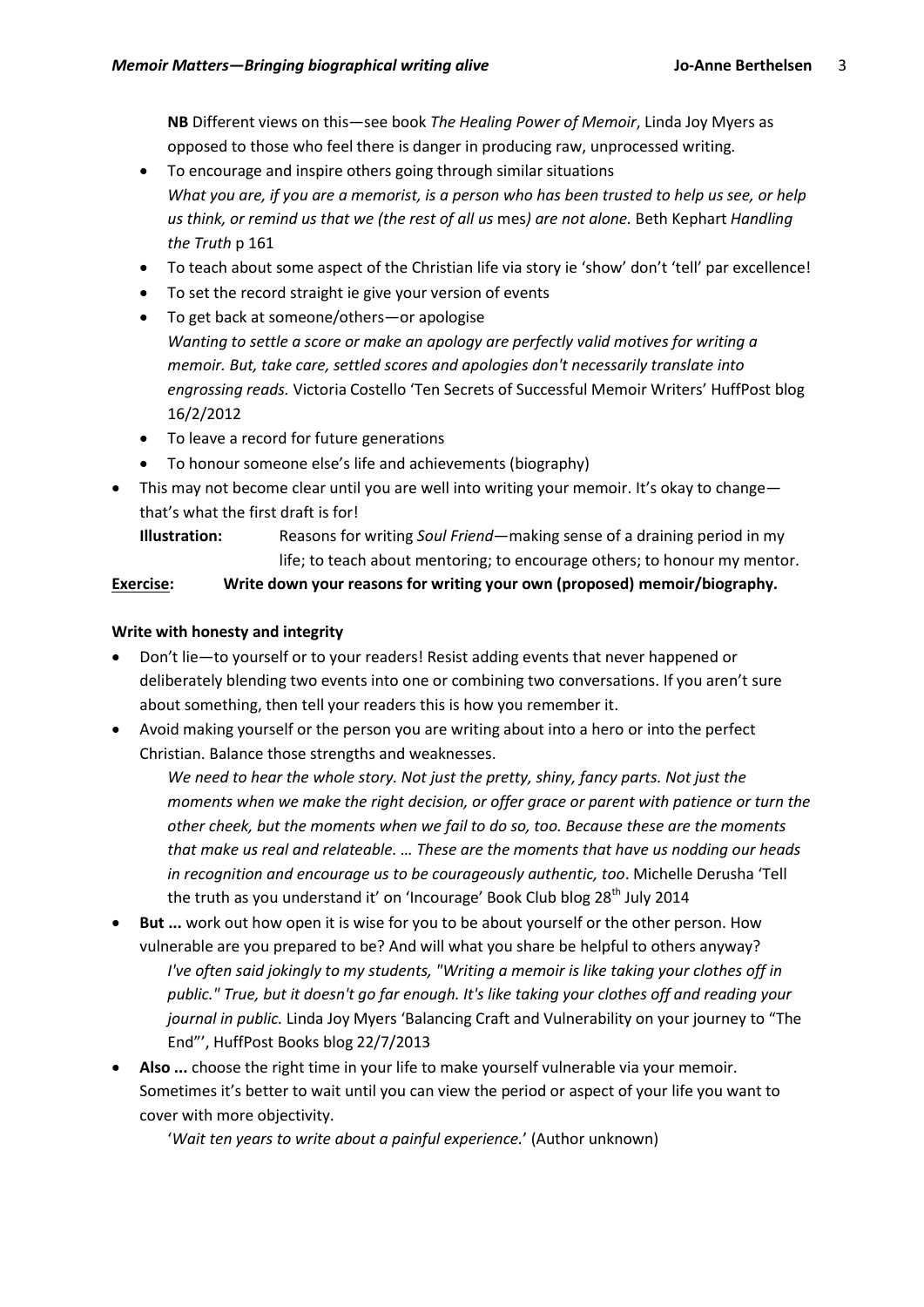**NB** Different views on this—see book *The Healing Power of Memoir*, Linda Joy Myers as opposed to those who feel there is danger in producing raw, unprocessed writing.

- To encourage and inspire others going through similar situations *What you are, if you are a memorist, is a person who has been trusted to help us see, or help us think, or remind us that we (the rest of all us* mes*) are not alone.* Beth Kephart *Handling the Truth* p 161
- To teach about some aspect of the Christian life via story ie 'show' don't 'tell' par excellence!
- To set the record straight ie give your version of events
- To get back at someone/others—or apologise *Wanting to settle a score or make an apology are perfectly valid motives for writing a memoir. But, take care, settled scores and apologies don't necessarily translate into engrossing reads.* Victoria Costello 'Ten Secrets of Successful Memoir Writers' HuffPost blog 16/2/2012
- To leave a record for future generations
- To honour someone else's life and achievements (biography)
- This may not become clear until you are well into writing your memoir. It's okay to change that's what the first draft is for!
	- **Illustration:** Reasons for writing *Soul Friend*—making sense of a draining period in my life; to teach about mentoring; to encourage others; to honour my mentor.

## **Exercise: Write down your reasons for writing your own (proposed) memoir/biography.**

## **Write with honesty and integrity**

- Don't lie—to yourself or to your readers! Resist adding events that never happened or deliberately blending two events into one or combining two conversations. If you aren't sure about something, then tell your readers this is how you remember it.
- Avoid making yourself or the person you are writing about into a hero or into the perfect Christian. Balance those strengths and weaknesses.

*We need to hear the whole story. Not just the pretty, shiny, fancy parts. Not just the moments when we make the right decision, or offer grace or parent with patience or turn the other cheek, but the moments when we fail to do so, too. Because these are the moments that make us real and relateable. … These are the moments that have us nodding our heads in recognition and encourage us to be courageously authentic, too*. Michelle Derusha 'Tell the truth as you understand it' on 'Incourage' Book Club blog 28<sup>th</sup> July 2014

- **But ...** work out how open it is wise for you to be about yourself or the other person. How vulnerable are you prepared to be? And will what you share be helpful to others anyway? *I've often said jokingly to my students, "Writing a memoir is like taking your clothes off in public." True, but it doesn't go far enough. It's like taking your clothes off and reading your journal in public.* Linda Joy Myers 'Balancing Craft and Vulnerability on your journey to "The End"', HuffPost Books blog 22/7/2013
- **Also ...** choose the right time in your life to make yourself vulnerable via your memoir. Sometimes it's better to wait until you can view the period or aspect of your life you want to cover with more objectivity.

'*Wait ten years to write about a painful experience.*' (Author unknown)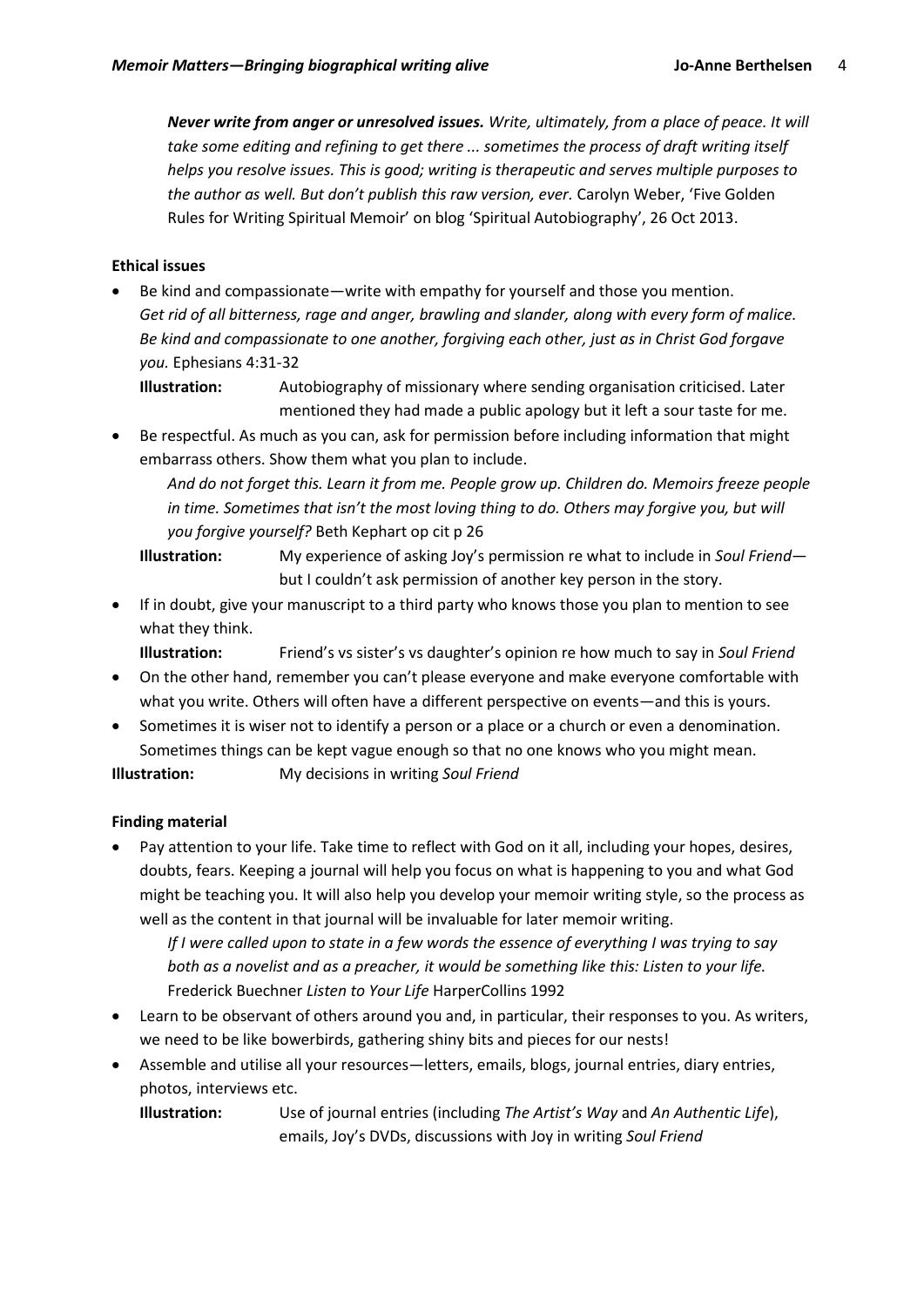*Never write from anger or unresolved issues. Write, ultimately, from a place of peace. It will take some editing and refining to get there ... sometimes the process of draft writing itself helps you resolve issues. This is good; writing is therapeutic and serves multiple purposes to the author as well. But don't publish this raw version, ever.* Carolyn Weber, 'Five Golden Rules for Writing Spiritual Memoir' on blog 'Spiritual Autobiography', 26 Oct 2013.

## **Ethical issues**

 Be kind and compassionate—write with empathy for yourself and those you mention. *Get rid of all bitterness, rage and anger, brawling and slander, along with every form of malice. Be kind and compassionate to one another, forgiving each other, just as in Christ God forgave you.* Ephesians 4:31-32

**Illustration:** Autobiography of missionary where sending organisation criticised. Later mentioned they had made a public apology but it left a sour taste for me.

 Be respectful. As much as you can, ask for permission before including information that might embarrass others. Show them what you plan to include.

*And do not forget this. Learn it from me. People grow up. Children do. Memoirs freeze people in time. Sometimes that isn't the most loving thing to do. Others may forgive you, but will you forgive yourself?* Beth Kephart op cit p 26

**Illustration:** My experience of asking Joy's permission re what to include in *Soul Friend* but I couldn't ask permission of another key person in the story.

 If in doubt, give your manuscript to a third party who knows those you plan to mention to see what they think.

**Illustration:** Friend's vs sister's vs daughter's opinion re how much to say in *Soul Friend*

- On the other hand, remember you can't please everyone and make everyone comfortable with what you write. Others will often have a different perspective on events—and this is yours.
- Sometimes it is wiser not to identify a person or a place or a church or even a denomination. Sometimes things can be kept vague enough so that no one knows who you might mean.

**Illustration:** My decisions in writing *Soul Friend*

## **Finding material**

 Pay attention to your life. Take time to reflect with God on it all, including your hopes, desires, doubts, fears. Keeping a journal will help you focus on what is happening to you and what God might be teaching you. It will also help you develop your memoir writing style, so the process as well as the content in that journal will be invaluable for later memoir writing.

*If I were called upon to state in a few words the essence of everything I was trying to say both as a novelist and as a preacher, it would be something like this: Listen to your life.*  Frederick Buechner *Listen to Your Life* HarperCollins 1992

- Learn to be observant of others around you and, in particular, their responses to you. As writers, we need to be like bowerbirds, gathering shiny bits and pieces for our nests!
- Assemble and utilise all your resources—letters, emails, blogs, journal entries, diary entries, photos, interviews etc.

**Illustration:** Use of journal entries (including *The Artist's Way* and *An Authentic Life*), emails, Joy's DVDs, discussions with Joy in writing *Soul Friend*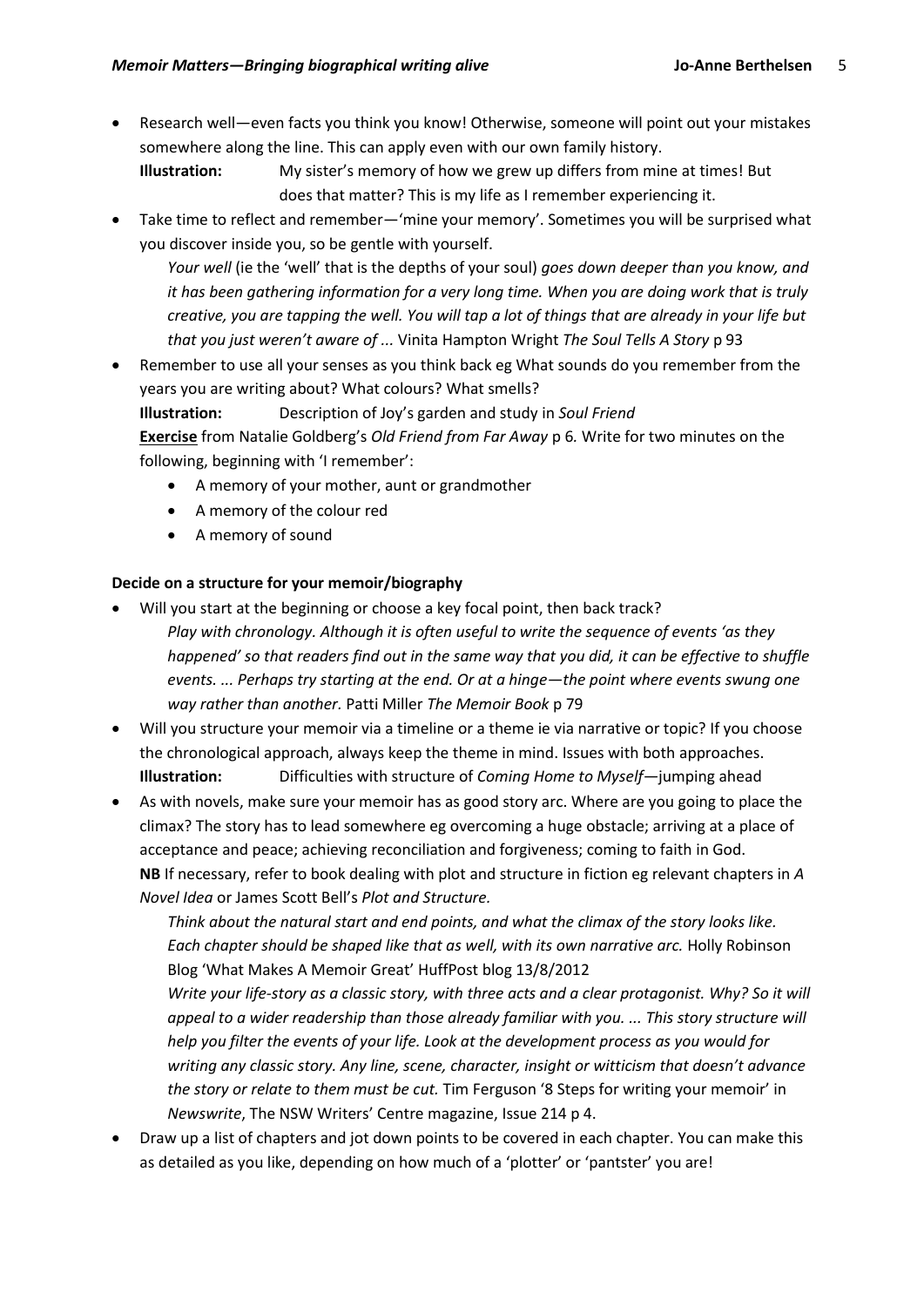Research well—even facts you think you know! Otherwise, someone will point out your mistakes somewhere along the line. This can apply even with our own family history.

**Illustration:** My sister's memory of how we grew up differs from mine at times! But does that matter? This is my life as I remember experiencing it.

 Take time to reflect and remember—'mine your memory'. Sometimes you will be surprised what you discover inside you, so be gentle with yourself.

*Your well* (ie the 'well' that is the depths of your soul) *goes down deeper than you know, and it has been gathering information for a very long time. When you are doing work that is truly creative, you are tapping the well. You will tap a lot of things that are already in your life but that you just weren't aware of ...* Vinita Hampton Wright *The Soul Tells A Story* p 93

 Remember to use all your senses as you think back eg What sounds do you remember from the years you are writing about? What colours? What smells?

**Illustration:** Description of Joy's garden and study in *Soul Friend*

**Exercise** from Natalie Goldberg's *Old Friend from Far Away* p 6*.* Write for two minutes on the following, beginning with 'I remember':

- A memory of your mother, aunt or grandmother
- A memory of the colour red
- A memory of sound

## **Decide on a structure for your memoir/biography**

- Will you start at the beginning or choose a key focal point, then back track? *Play with chronology. Although it is often useful to write the sequence of events 'as they happened' so that readers find out in the same way that you did, it can be effective to shuffle events. ... Perhaps try starting at the end. Or at a hinge—the point where events swung one way rather than another.* Patti Miller *The Memoir Book* p 79
- Will you structure your memoir via a timeline or a theme ie via narrative or topic? If you choose the chronological approach, always keep the theme in mind. Issues with both approaches. **Illustration:** Difficulties with structure of *Coming Home to Myself—*jumping ahead
- As with novels, make sure your memoir has as good story arc. Where are you going to place the climax? The story has to lead somewhere eg overcoming a huge obstacle; arriving at a place of acceptance and peace; achieving reconciliation and forgiveness; coming to faith in God. **NB** If necessary, refer to book dealing with plot and structure in fiction eg relevant chapters in *A Novel Idea* or James Scott Bell's *Plot and Structure.*

*Think about the natural start and end points, and what the climax of the story looks like. Each chapter should be shaped like that as well, with its own narrative arc.* Holly Robinson Blog 'What Makes A Memoir Great' HuffPost blog 13/8/2012

*Write your life-story as a classic story, with three acts and a clear protagonist. Why? So it will appeal to a wider readership than those already familiar with you. ... This story structure will help you filter the events of your life. Look at the development process as you would for writing any classic story. Any line, scene, character, insight or witticism that doesn't advance the story or relate to them must be cut.* Tim Ferguson '8 Steps for writing your memoir' in *Newswrite*, The NSW Writers' Centre magazine, Issue 214 p 4.

 Draw up a list of chapters and jot down points to be covered in each chapter. You can make this as detailed as you like, depending on how much of a 'plotter' or 'pantster' you are!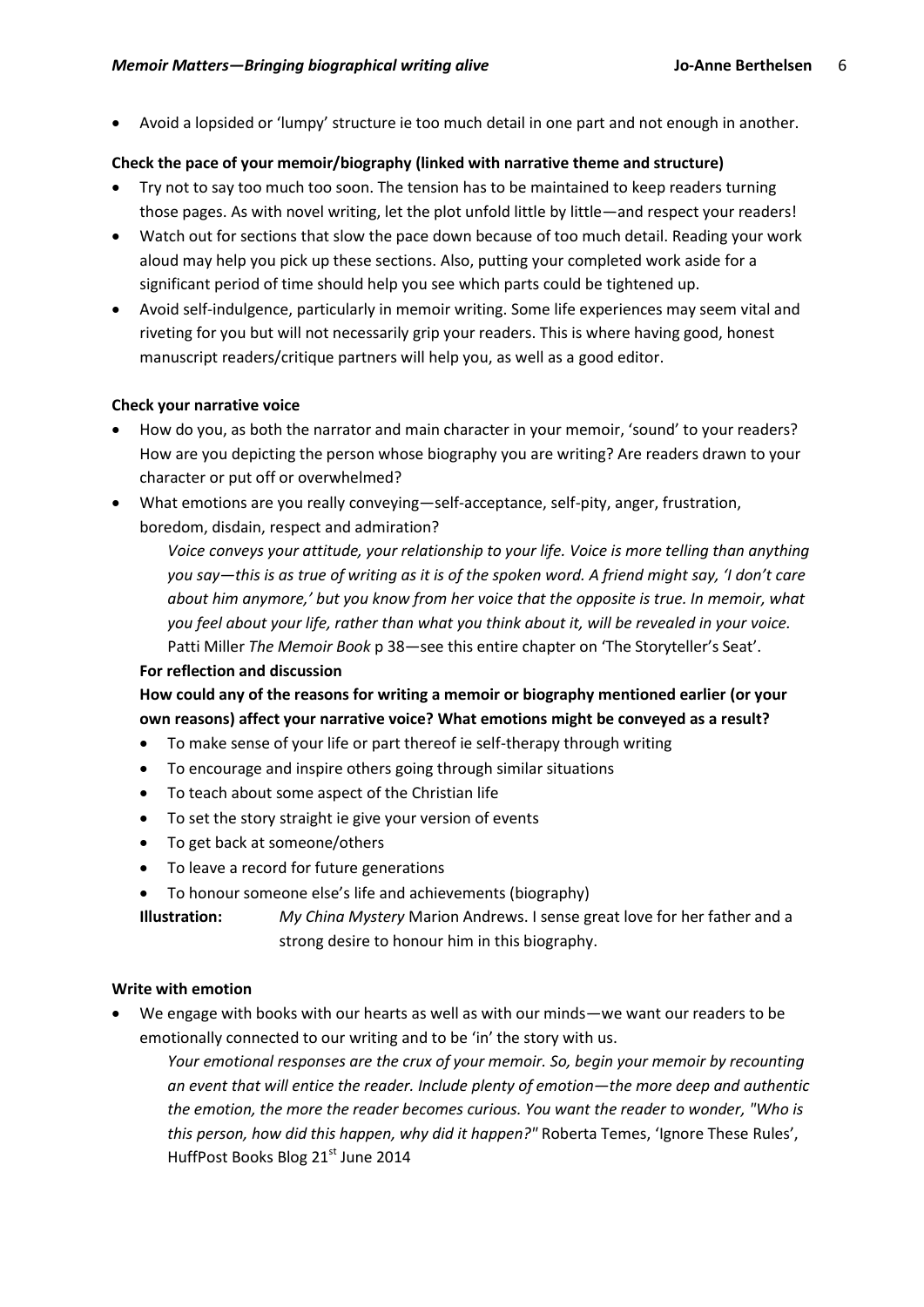Avoid a lopsided or 'lumpy' structure ie too much detail in one part and not enough in another.

### **Check the pace of your memoir/biography (linked with narrative theme and structure)**

- Try not to say too much too soon. The tension has to be maintained to keep readers turning those pages. As with novel writing, let the plot unfold little by little—and respect your readers!
- Watch out for sections that slow the pace down because of too much detail. Reading your work aloud may help you pick up these sections. Also, putting your completed work aside for a significant period of time should help you see which parts could be tightened up.
- Avoid self-indulgence, particularly in memoir writing. Some life experiences may seem vital and riveting for you but will not necessarily grip your readers. This is where having good, honest manuscript readers/critique partners will help you, as well as a good editor.

#### **Check your narrative voice**

- How do you, as both the narrator and main character in your memoir, 'sound' to your readers? How are you depicting the person whose biography you are writing? Are readers drawn to your character or put off or overwhelmed?
- What emotions are you really conveying—self-acceptance, self-pity, anger, frustration, boredom, disdain, respect and admiration?

*Voice conveys your attitude, your relationship to your life. Voice is more telling than anything you say—this is as true of writing as it is of the spoken word. A friend might say, 'I don't care about him anymore,' but you know from her voice that the opposite is true. In memoir, what you feel about your life, rather than what you think about it, will be revealed in your voice.*  Patti Miller *The Memoir Book* p 38—see this entire chapter on 'The Storyteller's Seat'.

#### **For reflection and discussion**

**How could any of the reasons for writing a memoir or biography mentioned earlier (or your own reasons) affect your narrative voice? What emotions might be conveyed as a result?**

- To make sense of your life or part thereof ie self-therapy through writing
- To encourage and inspire others going through similar situations
- To teach about some aspect of the Christian life
- To set the story straight ie give your version of events
- To get back at someone/others
- To leave a record for future generations
- To honour someone else's life and achievements (biography)

**Illustration:** *My China Mystery* Marion Andrews. I sense great love for her father and a strong desire to honour him in this biography.

#### **Write with emotion**

 We engage with books with our hearts as well as with our minds—we want our readers to be emotionally connected to our writing and to be 'in' the story with us.

*Your emotional responses are the crux of your memoir. So, begin your memoir by recounting an event that will entice the reader. Include plenty of emotion—the more deep and authentic the emotion, the more the reader becomes curious. You want the reader to wonder, "Who is this person, how did this happen, why did it happen?"* Roberta Temes, 'Ignore These Rules', HuffPost Books Blog 21<sup>st</sup> June 2014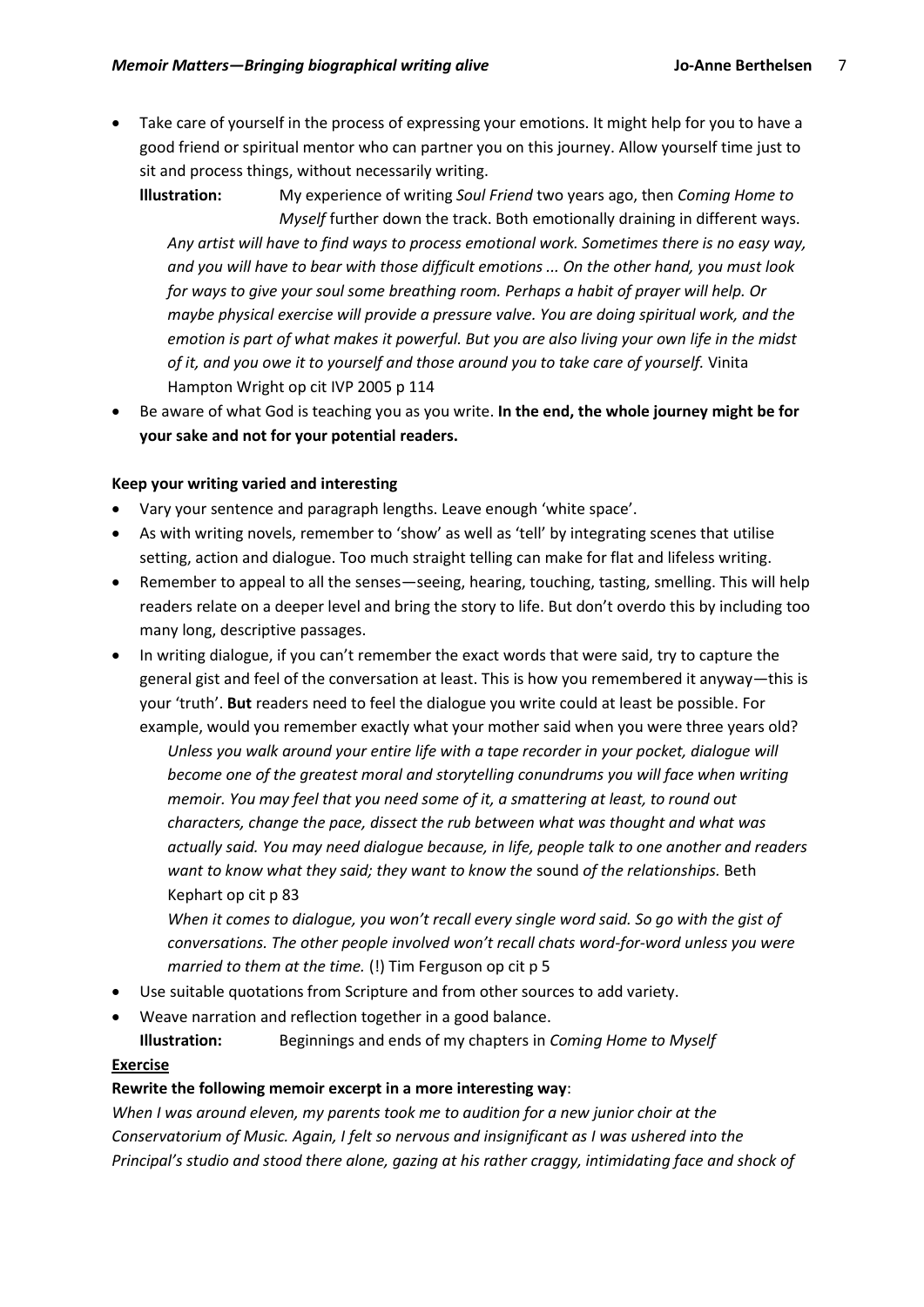Take care of yourself in the process of expressing your emotions. It might help for you to have a good friend or spiritual mentor who can partner you on this journey. Allow yourself time just to sit and process things, without necessarily writing.

**lllustration:** My experience of writing *Soul Friend* two years ago, then *Coming Home to Myself* further down the track. Both emotionally draining in different ways. *Any artist will have to find ways to process emotional work. Sometimes there is no easy way, and you will have to bear with those difficult emotions ... On the other hand, you must look for ways to give your soul some breathing room. Perhaps a habit of prayer will help. Or maybe physical exercise will provide a pressure valve. You are doing spiritual work, and the emotion is part of what makes it powerful. But you are also living your own life in the midst of it, and you owe it to yourself and those around you to take care of yourself.* Vinita Hampton Wright op cit IVP 2005 p 114

 Be aware of what God is teaching you as you write. **In the end, the whole journey might be for your sake and not for your potential readers.** 

## **Keep your writing varied and interesting**

- Vary your sentence and paragraph lengths. Leave enough 'white space'.
- As with writing novels, remember to 'show' as well as 'tell' by integrating scenes that utilise setting, action and dialogue. Too much straight telling can make for flat and lifeless writing.
- Remember to appeal to all the senses—seeing, hearing, touching, tasting, smelling. This will help readers relate on a deeper level and bring the story to life. But don't overdo this by including too many long, descriptive passages.
- In writing dialogue, if you can't remember the exact words that were said, try to capture the general gist and feel of the conversation at least. This is how you remembered it anyway—this is your 'truth'. **But** readers need to feel the dialogue you write could at least be possible. For example, would you remember exactly what your mother said when you were three years old?

*Unless you walk around your entire life with a tape recorder in your pocket, dialogue will become one of the greatest moral and storytelling conundrums you will face when writing memoir. You may feel that you need some of it, a smattering at least, to round out characters, change the pace, dissect the rub between what was thought and what was actually said. You may need dialogue because, in life, people talk to one another and readers want to know what they said; they want to know the* sound *of the relationships.* Beth Kephart op cit p 83

*When it comes to dialogue, you won't recall every single word said. So go with the gist of conversations. The other people involved won't recall chats word-for-word unless you were married to them at the time.* (!) Tim Ferguson op cit p 5

- Use suitable quotations from Scripture and from other sources to add variety.
- Weave narration and reflection together in a good balance.
- **Illustration:** Beginnings and ends of my chapters in *Coming Home to Myself*

## **Exercise**

#### **Rewrite the following memoir excerpt in a more interesting way**:

*When I was around eleven, my parents took me to audition for a new junior choir at the Conservatorium of Music. Again, I felt so nervous and insignificant as I was ushered into the Principal's studio and stood there alone, gazing at his rather craggy, intimidating face and shock of*